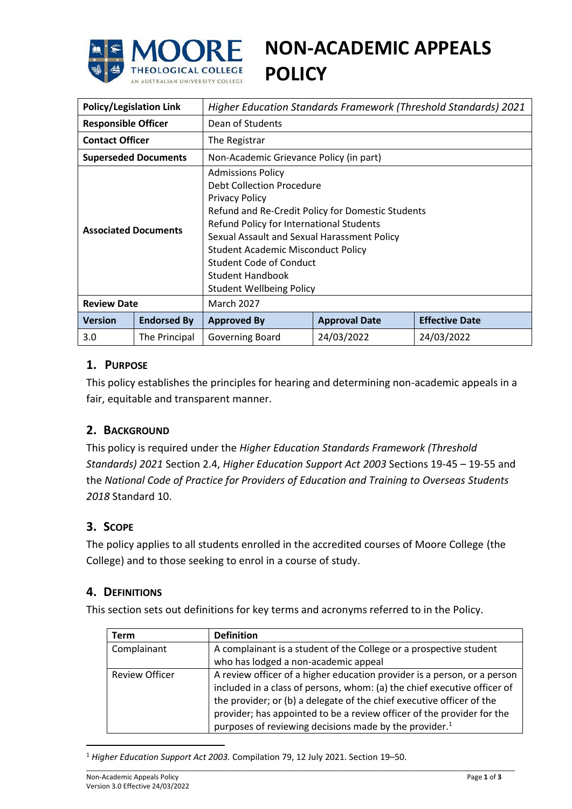

# **NON-ACADEMIC APPEALS POLICY**

| <b>Policy/Legislation Link</b> |                    | <b>Higher Education Standards Framework (Threshold Standards) 2021</b>                                                                                                                                                                                                                                                                                               |                      |                       |  |  |
|--------------------------------|--------------------|----------------------------------------------------------------------------------------------------------------------------------------------------------------------------------------------------------------------------------------------------------------------------------------------------------------------------------------------------------------------|----------------------|-----------------------|--|--|
| <b>Responsible Officer</b>     |                    | Dean of Students                                                                                                                                                                                                                                                                                                                                                     |                      |                       |  |  |
| <b>Contact Officer</b>         |                    | The Registrar                                                                                                                                                                                                                                                                                                                                                        |                      |                       |  |  |
| <b>Superseded Documents</b>    |                    | Non-Academic Grievance Policy (in part)                                                                                                                                                                                                                                                                                                                              |                      |                       |  |  |
| <b>Associated Documents</b>    |                    | <b>Admissions Policy</b><br>Debt Collection Procedure<br><b>Privacy Policy</b><br>Refund and Re-Credit Policy for Domestic Students<br>Refund Policy for International Students<br>Sexual Assault and Sexual Harassment Policy<br><b>Student Academic Misconduct Policy</b><br>Student Code of Conduct<br><b>Student Handbook</b><br><b>Student Wellbeing Policy</b> |                      |                       |  |  |
| <b>Review Date</b>             |                    | <b>March 2027</b>                                                                                                                                                                                                                                                                                                                                                    |                      |                       |  |  |
| <b>Version</b>                 | <b>Endorsed By</b> | <b>Approved By</b>                                                                                                                                                                                                                                                                                                                                                   | <b>Approval Date</b> | <b>Effective Date</b> |  |  |
| 3.0                            | The Principal      | Governing Board                                                                                                                                                                                                                                                                                                                                                      | 24/03/2022           | 24/03/2022            |  |  |

# **1. PURPOSE**

This policy establishes the principles for hearing and determining non-academic appeals in a fair, equitable and transparent manner.

## **2. BACKGROUND**

This policy is required under the *Higher Education Standards Framework (Threshold Standards) 2021* Section 2.4, *Higher Education Support Act 2003* Sections 19-45 – 19-55 and the *National Code of Practice for Providers of Education and Training to Overseas Students 2018* Standard 10.

## **3. SCOPE**

The policy applies to all students enrolled in the accredited courses of Moore College (the College) and to those seeking to enrol in a course of study.

## **4. DEFINITIONS**

This section sets out definitions for key terms and acronyms referred to in the Policy.

| Term                  | <b>Definition</b>                                                                                                                                                                                                             |  |
|-----------------------|-------------------------------------------------------------------------------------------------------------------------------------------------------------------------------------------------------------------------------|--|
| Complainant           | A complainant is a student of the College or a prospective student<br>who has lodged a non-academic appeal                                                                                                                    |  |
| <b>Review Officer</b> | A review officer of a higher education provider is a person, or a person<br>included in a class of persons, whom: (a) the chief executive officer of<br>the provider; or (b) a delegate of the chief executive officer of the |  |
|                       | provider; has appointed to be a review officer of the provider for the<br>purposes of reviewing decisions made by the provider. <sup>1</sup>                                                                                  |  |

<sup>1</sup> *Higher Education Support Act 2003.* Compilation 79, 12 July 2021. Section 19–50.

 $\overline{a}$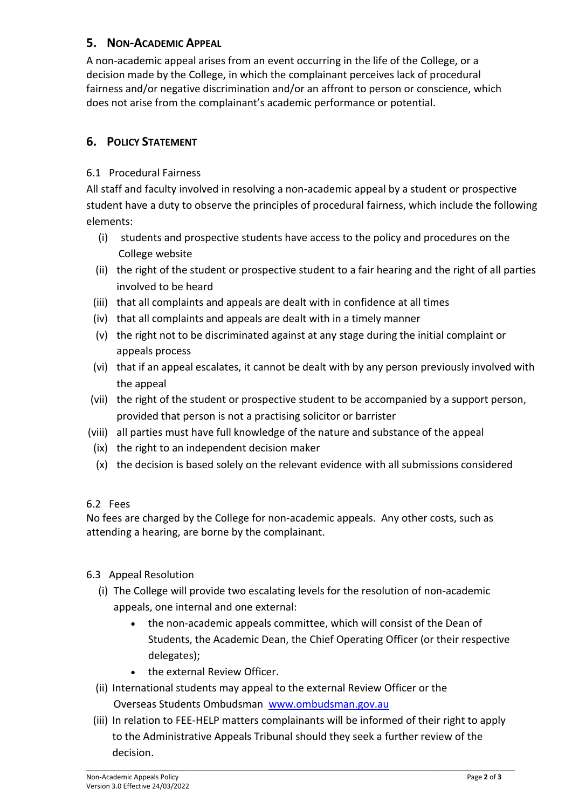# **5. NON-ACADEMIC APPEAL**

A non-academic appeal arises from an event occurring in the life of the College, or a decision made by the College, in which the complainant perceives lack of procedural fairness and/or negative discrimination and/or an affront to person or conscience, which does not arise from the complainant's academic performance or potential.

# **6. POLICY STATEMENT**

## 6.1 Procedural Fairness

All staff and faculty involved in resolving a non-academic appeal by a student or prospective student have a duty to observe the principles of procedural fairness, which include the following elements:

- (i) students and prospective students have access to the policy and procedures on the College website
- (ii) the right of the student or prospective student to a fair hearing and the right of all parties involved to be heard
- (iii) that all complaints and appeals are dealt with in confidence at all times
- (iv) that all complaints and appeals are dealt with in a timely manner
- (v) the right not to be discriminated against at any stage during the initial complaint or appeals process
- (vi) that if an appeal escalates, it cannot be dealt with by any person previously involved with the appeal
- (vii) the right of the student or prospective student to be accompanied by a support person, provided that person is not a practising solicitor or barrister
- (viii) all parties must have full knowledge of the nature and substance of the appeal
	- (ix) the right to an independent decision maker
	- (x) the decision is based solely on the relevant evidence with all submissions considered

## 6.2 Fees

No fees are charged by the College for non-academic appeals. Any other costs, such as attending a hearing, are borne by the complainant.

- 6.3 Appeal Resolution
	- (i) The College will provide two escalating levels for the resolution of non-academic appeals, one internal and one external:
		- the non-academic appeals committee, which will consist of the Dean of Students, the Academic Dean, the Chief Operating Officer (or their respective delegates);
		- the external Review Officer.
	- (ii) International students may appeal to the external Review Officer or the [Overseas Students Ombudsman](http://www.ombudsman.gov.au/making-a-complaint/overseas-students) [www.ombudsman.gov.au](http://www.ombudsman.gov.au/)
	- (iii) In relation to FEE-HELP matters complainants will be informed of their right to apply to the Administrative Appeals Tribunal should they seek a further review of the decision.